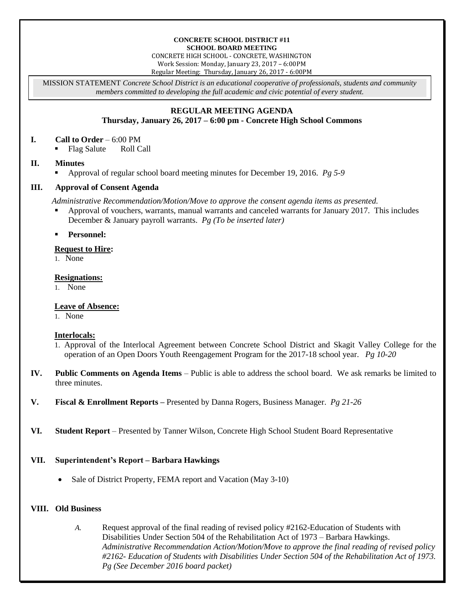#### **CONCRETE SCHOOL DISTRICT #11 SCHOOL BOARD MEETING**

CONCRETE HIGH SCHOOL - CONCRETE, WASHINGTON Work Session: Monday, January 23, 2017 – 6:00PM Regular Meeting: Thursday, January 26, 2017 - 6:00PM

MISSION STATEMENT *Concrete School District is an educational cooperative of professionals, students and community members committed to developing the full academic and civic potential of every student.*

# **REGULAR MEETING AGENDA**

# **Thursday, January 26, 2017 – 6:00 pm - Concrete High School Commons**

#### **I. Call to Order** – 6:00 PM

Flag Salute Roll Call

#### **II. Minutes**

Approval of regular school board meeting minutes for December 19, 2016. *Pg 5-9*

# **III. Approval of Consent Agenda**

*Administrative Recommendation/Motion/Move to approve the consent agenda items as presented.*

- Approval of vouchers, warrants, manual warrants and canceled warrants for January 2017. This includes December & January payroll warrants. *Pg (To be inserted later)*
- **Personnel:**

#### **Request to Hire:**

1. None

#### **Resignations:**

1. None

# **Leave of Absence:**

1. None

#### **Interlocals:**

- 1. Approval of the Interlocal Agreement between Concrete School District and Skagit Valley College for the operation of an Open Doors Youth Reengagement Program for the 2017-18 school year. *Pg 10-20*
- **IV. Public Comments on Agenda Items** Public is able to address the school board. We ask remarks be limited to three minutes.
- **V. Fiscal & Enrollment Reports –** Presented by Danna Rogers, Business Manager. *Pg 21-26*
- **VI. Student Report** Presented by Tanner Wilson, Concrete High School Student Board Representative

# **VII. Superintendent's Report – Barbara Hawkings**

Sale of District Property, FEMA report and Vacation (May 3-10)

#### **VIII. Old Business**

*A.* Request approval of the final reading of revised policy #2162-Education of Students with Disabilities Under Section 504 of the Rehabilitation Act of 1973 – Barbara Hawkings. *Administrative Recommendation Action/Motion/Move to approve the final reading of revised policy #2162- Education of Students with Disabilities Under Section 504 of the Rehabilitation Act of 1973. Pg (See December 2016 board packet)*